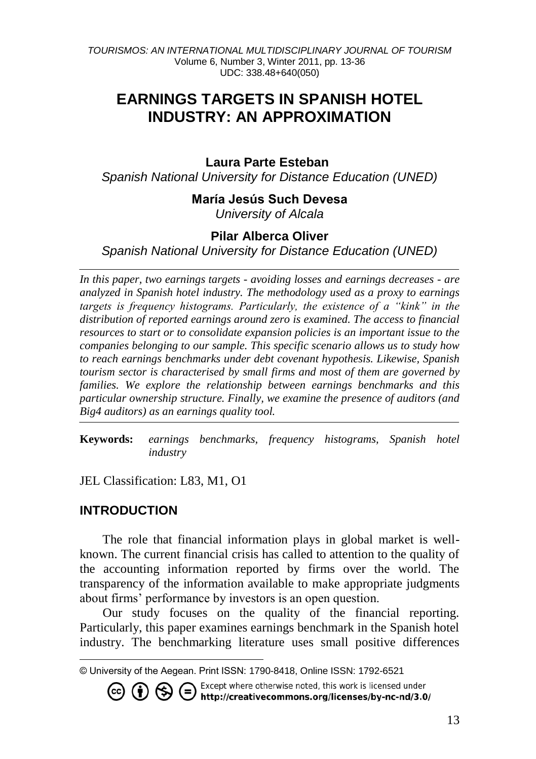# **EARNINGS TARGETS IN SPANISH HOTEL INDUSTRY: AN APPROXIMATION**

### Laura Parte Esteban

*Spanish National University for Distance Education (UNED)*

### **María Jesús Such Devesa**

*University of Alcala*

### **Pilar Alberca Oliver**

*Spanish National University for Distance Education (UNED)*

*In this paper, two earnings targets - avoiding losses and earnings decreases - are analyzed in Spanish hotel industry. The methodology used as a proxy to earnings targets is frequency histograms. Particularly, the existence of a "kink" in the distribution of reported earnings around zero is examined. The access to financial resources to start or to consolidate expansion policies is an important issue to the companies belonging to our sample. This specific scenario allows us to study how to reach earnings benchmarks under debt covenant hypothesis. Likewise, Spanish tourism sector is characterised by small firms and most of them are governed by families. We explore the relationship between earnings benchmarks and this particular ownership structure. Finally, we examine the presence of auditors (and Big4 auditors) as an earnings quality tool.*

**Keywords:** *earnings benchmarks, frequency histograms, Spanish hotel industry*

JEL Classification: L83, M1, O1

### **INTRODUCTION**

The role that financial information plays in global market is wellknown. The current financial crisis has called to attention to the quality of the accounting information reported by firms over the world. The transparency of the information available to make appropriate judgments about firms' performance by investors is an open question.

Our study focuses on the quality of the financial reporting. Particularly, this paper examines earnings benchmark in the Spanish hotel industry. The benchmarking literature uses small positive differences

دی

l © University of the Aegean. Print ISSN: 1790-8418, Online ISSN: 1792-6521

Except where otherwise noted, this work is licensed under ∈ / http://creativecommons.org/licenses/by-nc-nd/3.0/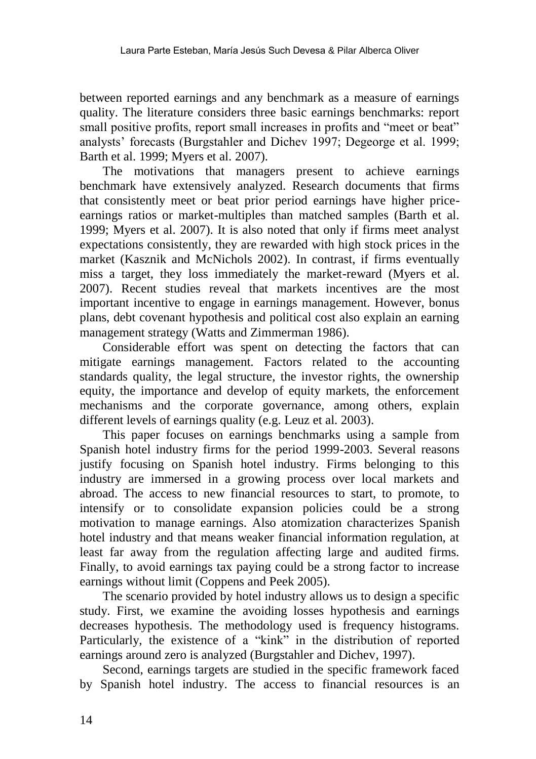between reported earnings and any benchmark as a measure of earnings quality. The literature considers three basic earnings benchmarks: report small positive profits, report small increases in profits and "meet or beat" analysts" forecasts (Burgstahler and Dichev 1997; Degeorge et al. 1999; Barth et al. 1999; Myers et al. 2007).

The motivations that managers present to achieve earnings benchmark have extensively analyzed. Research documents that firms that consistently meet or beat prior period earnings have higher priceearnings ratios or market-multiples than matched samples (Barth et al. 1999; Myers et al. 2007). It is also noted that only if firms meet analyst expectations consistently, they are rewarded with high stock prices in the market (Kasznik and McNichols 2002). In contrast, if firms eventually miss a target, they loss immediately the market-reward (Myers et al. 2007). Recent studies reveal that markets incentives are the most important incentive to engage in earnings management. However, bonus plans, debt covenant hypothesis and political cost also explain an earning management strategy (Watts and Zimmerman 1986).

Considerable effort was spent on detecting the factors that can mitigate earnings management. Factors related to the accounting standards quality, the legal structure, the investor rights, the ownership equity, the importance and develop of equity markets, the enforcement mechanisms and the corporate governance, among others, explain different levels of earnings quality (e.g. Leuz et al. 2003).

This paper focuses on earnings benchmarks using a sample from Spanish hotel industry firms for the period 1999-2003. Several reasons justify focusing on Spanish hotel industry. Firms belonging to this industry are immersed in a growing process over local markets and abroad. The access to new financial resources to start, to promote, to intensify or to consolidate expansion policies could be a strong motivation to manage earnings. Also atomization characterizes Spanish hotel industry and that means weaker financial information regulation, at least far away from the regulation affecting large and audited firms. Finally, to avoid earnings tax paying could be a strong factor to increase earnings without limit (Coppens and Peek 2005).

The scenario provided by hotel industry allows us to design a specific study. First, we examine the avoiding losses hypothesis and earnings decreases hypothesis. The methodology used is frequency histograms. Particularly, the existence of a "kink" in the distribution of reported earnings around zero is analyzed (Burgstahler and Dichev, 1997).

Second, earnings targets are studied in the specific framework faced by Spanish hotel industry. The access to financial resources is an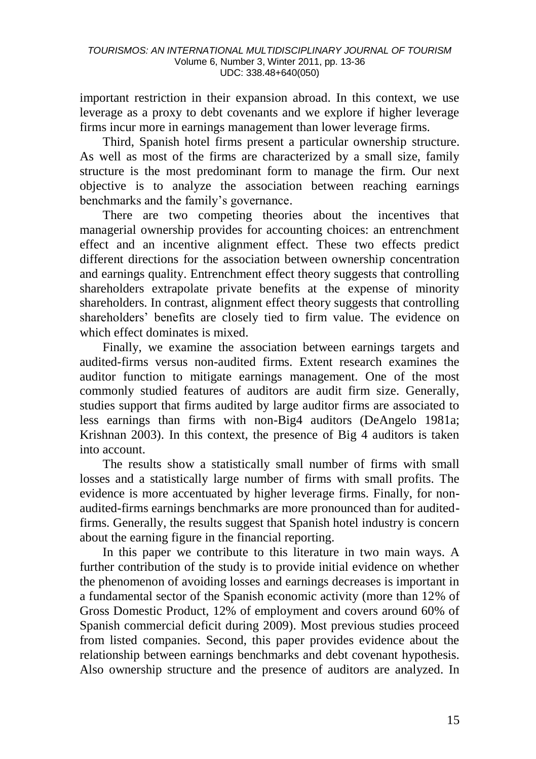important restriction in their expansion abroad. In this context, we use leverage as a proxy to debt covenants and we explore if higher leverage firms incur more in earnings management than lower leverage firms.

Third, Spanish hotel firms present a particular ownership structure. As well as most of the firms are characterized by a small size, family structure is the most predominant form to manage the firm. Our next objective is to analyze the association between reaching earnings benchmarks and the family"s governance.

There are two competing theories about the incentives that managerial ownership provides for accounting choices: an entrenchment effect and an incentive alignment effect. These two effects predict different directions for the association between ownership concentration and earnings quality. Entrenchment effect theory suggests that controlling shareholders extrapolate private benefits at the expense of minority shareholders. In contrast, alignment effect theory suggests that controlling shareholders" benefits are closely tied to firm value. The evidence on which effect dominates is mixed.

Finally, we examine the association between earnings targets and audited-firms versus non-audited firms. Extent research examines the auditor function to mitigate earnings management. One of the most commonly studied features of auditors are audit firm size. Generally, studies support that firms audited by large auditor firms are associated to less earnings than firms with non-Big4 auditors (DeAngelo 1981a; Krishnan 2003). In this context, the presence of Big 4 auditors is taken into account.

The results show a statistically small number of firms with small losses and a statistically large number of firms with small profits. The evidence is more accentuated by higher leverage firms. Finally, for nonaudited-firms earnings benchmarks are more pronounced than for auditedfirms. Generally, the results suggest that Spanish hotel industry is concern about the earning figure in the financial reporting.

In this paper we contribute to this literature in two main ways. A further contribution of the study is to provide initial evidence on whether the phenomenon of avoiding losses and earnings decreases is important in a fundamental sector of the Spanish economic activity (more than 12% of Gross Domestic Product, 12% of employment and covers around 60% of Spanish commercial deficit during 2009). Most previous studies proceed from listed companies. Second, this paper provides evidence about the relationship between earnings benchmarks and debt covenant hypothesis. Also ownership structure and the presence of auditors are analyzed. In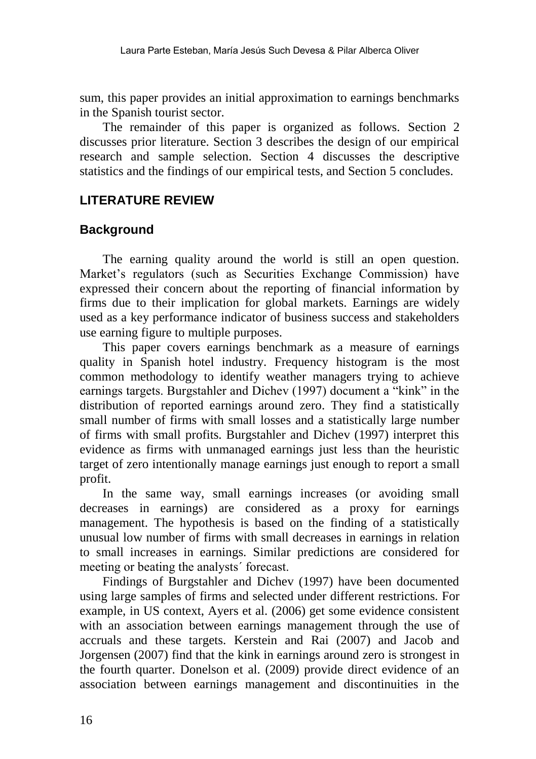sum, this paper provides an initial approximation to earnings benchmarks in the Spanish tourist sector.

The remainder of this paper is organized as follows. Section 2 discusses prior literature. Section 3 describes the design of our empirical research and sample selection. Section 4 discusses the descriptive statistics and the findings of our empirical tests, and Section 5 concludes.

# **LITERATURE REVIEW**

### **Background**

The earning quality around the world is still an open question. Market's regulators (such as Securities Exchange Commission) have expressed their concern about the reporting of financial information by firms due to their implication for global markets. Earnings are widely used as a key performance indicator of business success and stakeholders use earning figure to multiple purposes.

This paper covers earnings benchmark as a measure of earnings quality in Spanish hotel industry. Frequency histogram is the most common methodology to identify weather managers trying to achieve earnings targets. Burgstahler and Dichev (1997) document a "kink" in the distribution of reported earnings around zero. They find a statistically small number of firms with small losses and a statistically large number of firms with small profits. Burgstahler and Dichev (1997) interpret this evidence as firms with unmanaged earnings just less than the heuristic target of zero intentionally manage earnings just enough to report a small profit.

In the same way, small earnings increases (or avoiding small decreases in earnings) are considered as a proxy for earnings management. The hypothesis is based on the finding of a statistically unusual low number of firms with small decreases in earnings in relation to small increases in earnings. Similar predictions are considered for meeting or beating the analysts´ forecast.

Findings of Burgstahler and Dichev (1997) have been documented using large samples of firms and selected under different restrictions. For example, in US context, Ayers et al. (2006) get some evidence consistent with an association between earnings management through the use of accruals and these targets. Kerstein and Rai (2007) and Jacob and Jorgensen (2007) find that the kink in earnings around zero is strongest in the fourth quarter. Donelson et al. (2009) provide direct evidence of an association between earnings management and discontinuities in the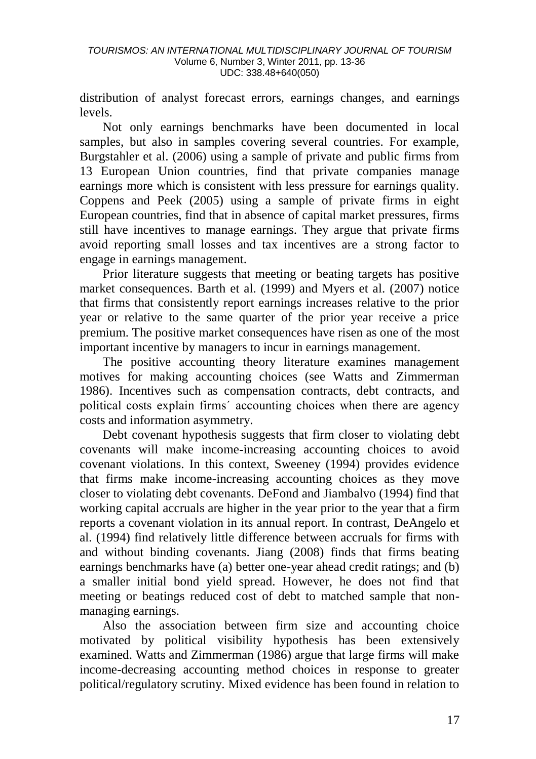distribution of analyst forecast errors, earnings changes, and earnings levels.

Not only earnings benchmarks have been documented in local samples, but also in samples covering several countries. For example, Burgstahler et al. (2006) using a sample of private and public firms from 13 European Union countries, find that private companies manage earnings more which is consistent with less pressure for earnings quality. Coppens and Peek (2005) using a sample of private firms in eight European countries, find that in absence of capital market pressures, firms still have incentives to manage earnings. They argue that private firms avoid reporting small losses and tax incentives are a strong factor to engage in earnings management.

Prior literature suggests that meeting or beating targets has positive market consequences. Barth et al. (1999) and Myers et al. (2007) notice that firms that consistently report earnings increases relative to the prior year or relative to the same quarter of the prior year receive a price premium. The positive market consequences have risen as one of the most important incentive by managers to incur in earnings management.

The positive accounting theory literature examines management motives for making accounting choices (see Watts and Zimmerman 1986). Incentives such as compensation contracts, debt contracts, and political costs explain firms´ accounting choices when there are agency costs and information asymmetry.

Debt covenant hypothesis suggests that firm closer to violating debt covenants will make income-increasing accounting choices to avoid covenant violations. In this context, Sweeney (1994) provides evidence that firms make income-increasing accounting choices as they move closer to violating debt covenants. DeFond and Jiambalvo (1994) find that working capital accruals are higher in the year prior to the year that a firm reports a covenant violation in its annual report. In contrast, DeAngelo et al. (1994) find relatively little difference between accruals for firms with and without binding covenants. Jiang (2008) finds that firms beating earnings benchmarks have (a) better one-year ahead credit ratings; and (b) a smaller initial bond yield spread. However, he does not find that meeting or beatings reduced cost of debt to matched sample that nonmanaging earnings.

Also the association between firm size and accounting choice motivated by political visibility hypothesis has been extensively examined. Watts and Zimmerman (1986) argue that large firms will make income-decreasing accounting method choices in response to greater political/regulatory scrutiny. Mixed evidence has been found in relation to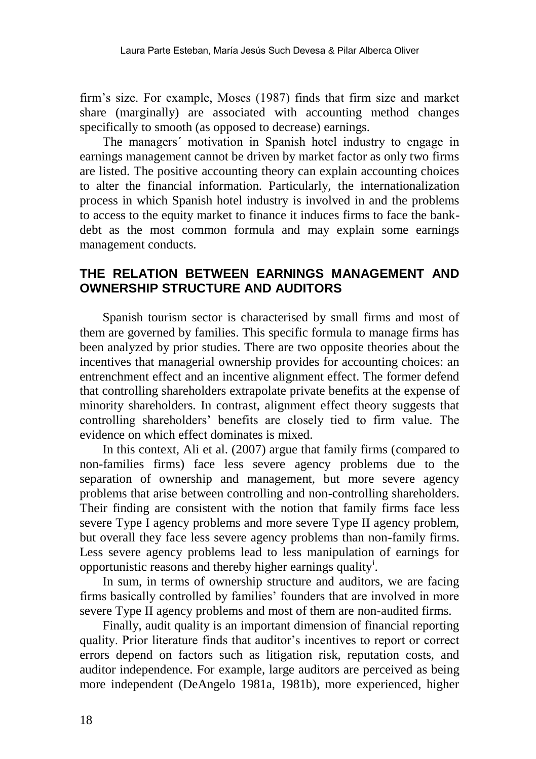firm"s size. For example, Moses (1987) finds that firm size and market share (marginally) are associated with accounting method changes specifically to smooth (as opposed to decrease) earnings.

The managers´ motivation in Spanish hotel industry to engage in earnings management cannot be driven by market factor as only two firms are listed. The positive accounting theory can explain accounting choices to alter the financial information. Particularly, the internationalization process in which Spanish hotel industry is involved in and the problems to access to the equity market to finance it induces firms to face the bankdebt as the most common formula and may explain some earnings management conducts.

### **THE RELATION BETWEEN EARNINGS MANAGEMENT AND OWNERSHIP STRUCTURE AND AUDITORS**

Spanish tourism sector is characterised by small firms and most of them are governed by families. This specific formula to manage firms has been analyzed by prior studies. There are two opposite theories about the incentives that managerial ownership provides for accounting choices: an entrenchment effect and an incentive alignment effect. The former defend that controlling shareholders extrapolate private benefits at the expense of minority shareholders. In contrast, alignment effect theory suggests that controlling shareholders" benefits are closely tied to firm value. The evidence on which effect dominates is mixed.

In this context, Ali et al. (2007) argue that family firms (compared to non-families firms) face less severe agency problems due to the separation of ownership and management, but more severe agency problems that arise between controlling and non-controlling shareholders. Their finding are consistent with the notion that family firms face less severe Type I agency problems and more severe Type II agency problem, but overall they face less severe agency problems than non-family firms. Less severe agency problems lead to less manipulation of earnings for opportunistic reasons and thereby higher earnings quality<sup>i</sup>.

In sum, in terms of ownership structure and auditors, we are facing firms basically controlled by families' founders that are involved in more severe Type II agency problems and most of them are non-audited firms.

Finally, audit quality is an important dimension of financial reporting quality. Prior literature finds that auditor"s incentives to report or correct errors depend on factors such as litigation risk, reputation costs, and auditor independence. For example, large auditors are perceived as being more independent (DeAngelo 1981a, 1981b), more experienced, higher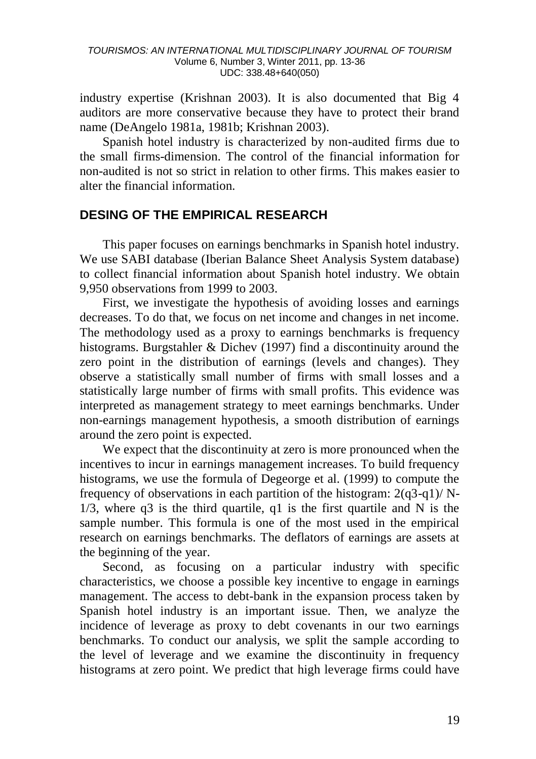industry expertise (Krishnan 2003). It is also documented that Big 4 auditors are more conservative because they have to protect their brand name (DeAngelo 1981a, 1981b; Krishnan 2003).

Spanish hotel industry is characterized by non-audited firms due to the small firms-dimension. The control of the financial information for non-audited is not so strict in relation to other firms. This makes easier to alter the financial information.

### **DESING OF THE EMPIRICAL RESEARCH**

This paper focuses on earnings benchmarks in Spanish hotel industry. We use SABI database (Iberian Balance Sheet Analysis System database) to collect financial information about Spanish hotel industry. We obtain 9,950 observations from 1999 to 2003.

First, we investigate the hypothesis of avoiding losses and earnings decreases. To do that, we focus on net income and changes in net income. The methodology used as a proxy to earnings benchmarks is frequency histograms. Burgstahler & Dichev (1997) find a discontinuity around the zero point in the distribution of earnings (levels and changes). They observe a statistically small number of firms with small losses and a statistically large number of firms with small profits. This evidence was interpreted as management strategy to meet earnings benchmarks. Under non-earnings management hypothesis, a smooth distribution of earnings around the zero point is expected.

We expect that the discontinuity at zero is more pronounced when the incentives to incur in earnings management increases. To build frequency histograms, we use the formula of Degeorge et al. (1999) to compute the frequency of observations in each partition of the histogram:  $2(q3-q)/N$ - $1/3$ , where q3 is the third quartile, q1 is the first quartile and N is the sample number. This formula is one of the most used in the empirical research on earnings benchmarks. The deflators of earnings are assets at the beginning of the year.

Second, as focusing on a particular industry with specific characteristics, we choose a possible key incentive to engage in earnings management. The access to debt-bank in the expansion process taken by Spanish hotel industry is an important issue. Then, we analyze the incidence of leverage as proxy to debt covenants in our two earnings benchmarks. To conduct our analysis, we split the sample according to the level of leverage and we examine the discontinuity in frequency histograms at zero point. We predict that high leverage firms could have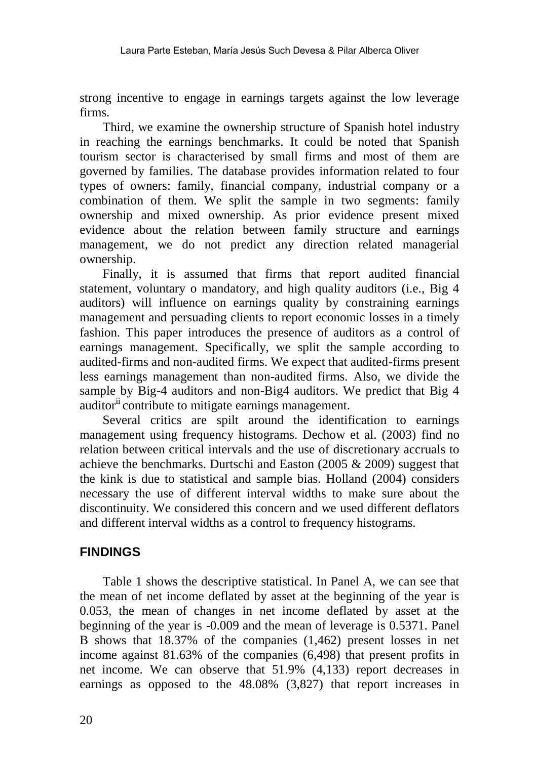strong incentive to engage in earnings targets against the low leverage firms.

Third, we examine the ownership structure of Spanish hotel industry in reaching the earnings benchmarks. It could be noted that Spanish tourism sector is characterised by small firms and most of them are governed by families. The database provides information related to four types of owners: family, financial company, industrial company or a combination of them. We split the sample in two segments: family ownership and mixed ownership. As prior evidence present mixed evidence about the relation between family structure and earnings management, we do not predict any direction related managerial ownership.

Finally, it is assumed that firms that report audited financial statement, voluntary o mandatory, and high quality auditors (i.e., Big 4 auditors) will influence on earnings quality by constraining earnings management and persuading clients to report economic losses in a timely fashion. This paper introduces the presence of auditors as a control of earnings management. Specifically, we split the sample according to audited-firms and non-audited firms. We expect that audited-firms present less earnings management than non-audited firms. Also, we divide the sample by Big-4 auditors and non-Big4 auditors. We predict that Big 4 auditor<sup>ii</sup> contribute to mitigate earnings management.

Several critics are spilt around the identification to earnings management using frequency histograms. Dechow et al. (2003) find no relation between critical intervals and the use of discretionary accruals to achieve the benchmarks. Durtschi and Easton (2005 & 2009) suggest that the kink is due to statistical and sample bias. Holland (2004) considers necessary the use of different interval widths to make sure about the discontinuity. We considered this concern and we used different deflators and different interval widths as a control to frequency histograms.

### **FINDINGS**

Table 1 shows the descriptive statistical. In Panel A, we can see that the mean of net income deflated by asset at the beginning of the year is 0.053, the mean of changes in net income deflated by asset at the beginning of the year is -0.009 and the mean of leverage is 0.5371. Panel B shows that 18.37% of the companies (1,462) present losses in net income against 81.63% of the companies (6,498) that present profits in net income. We can observe that 51.9% (4,133) report decreases in earnings as opposed to the 48.08% (3,827) that report increases in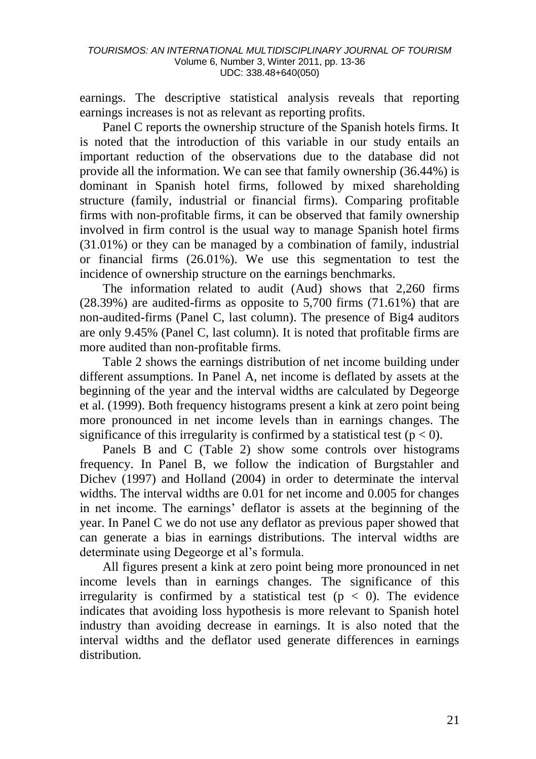earnings. The descriptive statistical analysis reveals that reporting earnings increases is not as relevant as reporting profits.

Panel C reports the ownership structure of the Spanish hotels firms. It is noted that the introduction of this variable in our study entails an important reduction of the observations due to the database did not provide all the information. We can see that family ownership (36.44%) is dominant in Spanish hotel firms, followed by mixed shareholding structure (family, industrial or financial firms). Comparing profitable firms with non-profitable firms, it can be observed that family ownership involved in firm control is the usual way to manage Spanish hotel firms (31.01%) or they can be managed by a combination of family, industrial or financial firms (26.01%). We use this segmentation to test the incidence of ownership structure on the earnings benchmarks.

The information related to audit (Aud) shows that 2,260 firms (28.39%) are audited-firms as opposite to 5,700 firms (71.61%) that are non-audited-firms (Panel C, last column). The presence of Big4 auditors are only 9.45% (Panel C, last column). It is noted that profitable firms are more audited than non-profitable firms.

Table 2 shows the earnings distribution of net income building under different assumptions. In Panel A, net income is deflated by assets at the beginning of the year and the interval widths are calculated by Degeorge et al. (1999). Both frequency histograms present a kink at zero point being more pronounced in net income levels than in earnings changes. The significance of this irregularity is confirmed by a statistical test ( $p < 0$ ).

Panels B and C (Table 2) show some controls over histograms frequency. In Panel B, we follow the indication of Burgstahler and Dichev (1997) and Holland (2004) in order to determinate the interval widths. The interval widths are 0.01 for net income and 0.005 for changes in net income. The earnings" deflator is assets at the beginning of the year. In Panel C we do not use any deflator as previous paper showed that can generate a bias in earnings distributions. The interval widths are determinate using Degeorge et al"s formula.

All figures present a kink at zero point being more pronounced in net income levels than in earnings changes. The significance of this irregularity is confirmed by a statistical test ( $p < 0$ ). The evidence indicates that avoiding loss hypothesis is more relevant to Spanish hotel industry than avoiding decrease in earnings. It is also noted that the interval widths and the deflator used generate differences in earnings distribution.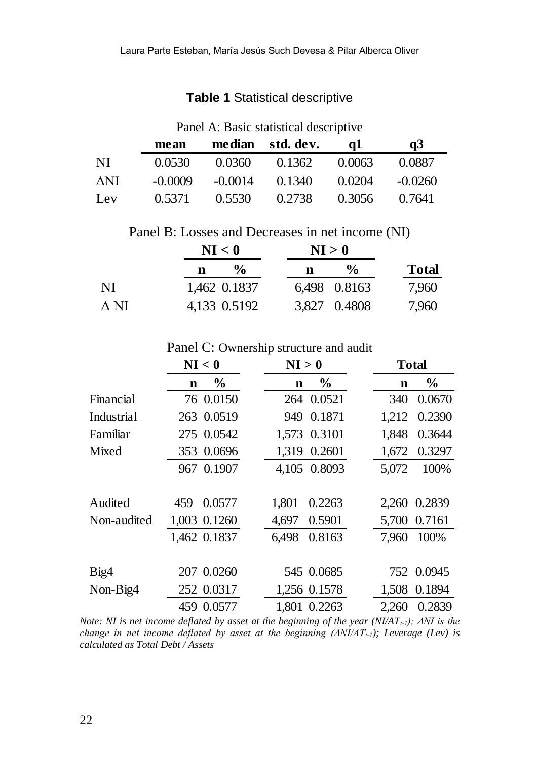### **Table 1** Statistical descriptive

### Panel A: Basic statistical descriptive

|     | mean      |           | median std. dev. | αl     | a3        |
|-----|-----------|-----------|------------------|--------|-----------|
| NI  | 0.0530    | 0.0360    | 0.1362           | 0.0063 | 0.0887    |
| ΔNI | $-0.0009$ | $-0.0014$ | 0.1340           | 0.0204 | $-0.0260$ |
| Lev | 0.5371    | 0.5530    | 0.2738           | 0.3056 | 0.7641    |

Panel B: Losses and Decreases in net income (NI)

|      | NI < 0             | NI > 0             |              |  |
|------|--------------------|--------------------|--------------|--|
|      | $\frac{6}{9}$<br>n | $\frac{0}{\alpha}$ | <b>Total</b> |  |
| NI   | 1.462 0.1837       | 6.498 0.8163       | 7.960        |  |
| A NI | 4.133 0.5192       | 3.827 0.4808       | 7.960        |  |

Panel C: Ownership structure and audit

|             | NI < 0                       | NI > 0                       | <b>Total</b>        |
|-------------|------------------------------|------------------------------|---------------------|
|             | $\frac{6}{9}$<br>$\mathbf n$ | $\frac{6}{9}$<br>$\mathbf n$ | $\%$<br>$\mathbf n$ |
| Financial   | 76 0.0150                    | 264 0.0521                   | 0.0670<br>340       |
| Industrial  | 263 0.0519                   | 0.1871<br>949                | 1,212<br>0.2390     |
| Familiar    | 275 0.0542                   | 1.573 0.3101                 | 0.3644<br>1.848     |
| Mixed       | 353 0.0696                   | 1,319 0.2601                 | 0.3297<br>1,672     |
|             | 967 0.1907                   | 4,105 0.8093                 | 100%<br>5,072       |
|             |                              |                              |                     |
| Audited     | 0.0577<br>459                | 1.801<br>0.2263              | 2.260 0.2839        |
| Non-audited | 1,003 0.1260                 | 4,697<br>0.5901              | 5,700 0.7161        |
|             | 1,462 0.1837                 | 6.498<br>0.8163              | 100%<br>7.960       |
|             |                              |                              |                     |
| Big4        | 207 0.0260                   | 545 0.0685                   | 752 0.0945          |
| Non-Big4    | 252 0.0317                   | 1,256 0.1578                 | 0.1894<br>1.508     |
|             | 459 0.0577                   | 1,801 0.2263                 | 2,260<br>0.2839     |

*Note: NI is net income deflated by asset at the beginning of the year (NI/ATt-1); ΔNI is the change in net income deflated by asset at the beginning (ΔNI/ATt-1); Leverage (Lev) is calculated as Total Debt / Assets*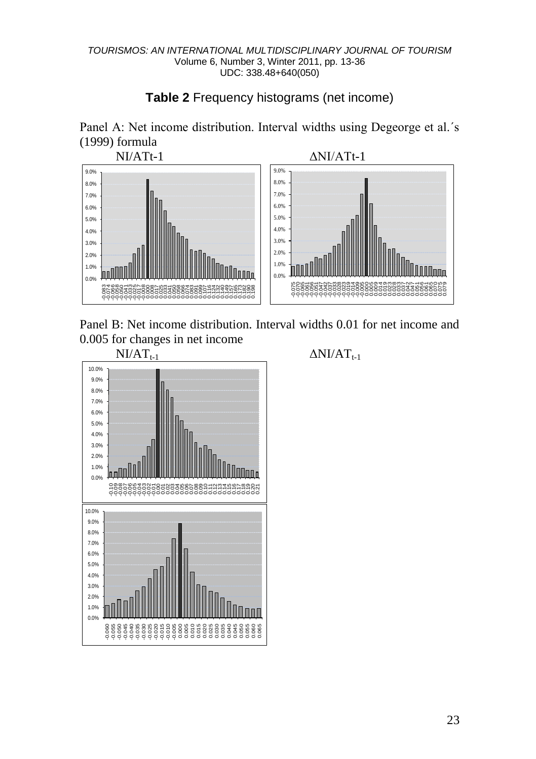# **Table 2** Frequency histograms (net income)

Panel A: Net income distribution. Interval widths using Degeorge et al.´s (1999) formula



Panel B: Net income distribution. Interval widths 0.01 for net income and 0.005 for changes in net income<br> $N1/AT_{t-1}$ 



 $\Delta$ NI/AT $_{t-1}$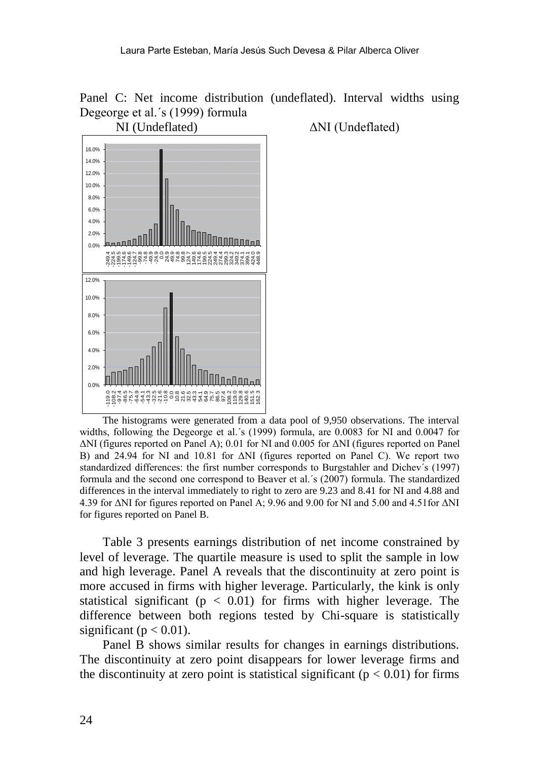



NI (Undeflated) ΔNI (Undeflated)

The histograms were generated from a data pool of 9,950 observations. The interval widths, following the Degeorge et al.´s (1999) formula, are 0.0083 for NI and 0.0047 for ΔNI (figures reported on Panel A); 0.01 for NI and 0.005 for ΔNI (figures reported on Panel B) and 24.94 for NI and 10.81 for ΔNI (figures reported on Panel C). We report two standardized differences: the first number corresponds to Burgstahler and Dichev´s (1997) formula and the second one correspond to Beaver et al.´s (2007) formula. The standardized differences in the interval immediately to right to zero are 9.23 and 8.41 for NI and 4.88 and 4.39 for ΔNI for figures reported on Panel A; 9.96 and 9.00 for NI and 5.00 and 4.51for ΔNI for figures reported on Panel B.

Table 3 presents earnings distribution of net income constrained by level of leverage. The quartile measure is used to split the sample in low and high leverage. Panel A reveals that the discontinuity at zero point is more accused in firms with higher leverage. Particularly, the kink is only statistical significant ( $p < 0.01$ ) for firms with higher leverage. The difference between both regions tested by Chi-square is statistically significant ( $p < 0.01$ ).

Panel B shows similar results for changes in earnings distributions. The discontinuity at zero point disappears for lower leverage firms and the discontinuity at zero point is statistical significant ( $p < 0.01$ ) for firms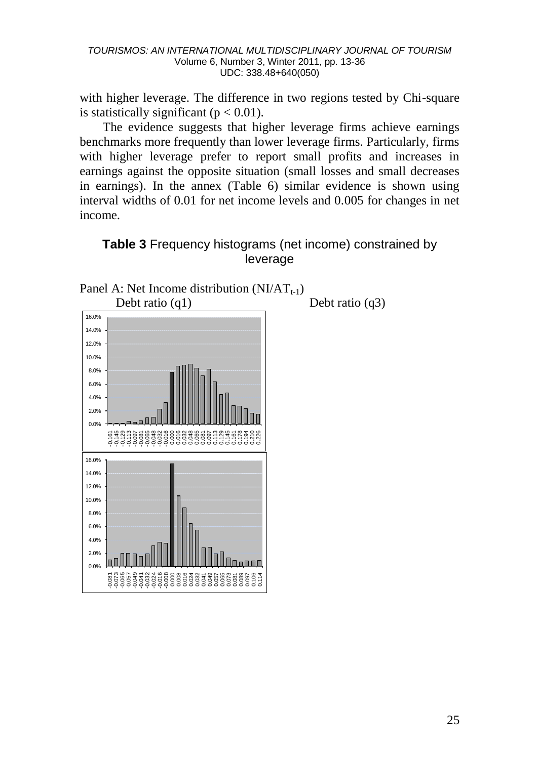with higher leverage. The difference in two regions tested by Chi-square is statistically significant ( $p < 0.01$ ).

The evidence suggests that higher leverage firms achieve earnings benchmarks more frequently than lower leverage firms. Particularly, firms with higher leverage prefer to report small profits and increases in earnings against the opposite situation (small losses and small decreases in earnings). In the annex (Table 6) similar evidence is shown using interval widths of 0.01 for net income levels and 0.005 for changes in net income.

### **Table 3** Frequency histograms (net income) constrained by leverage

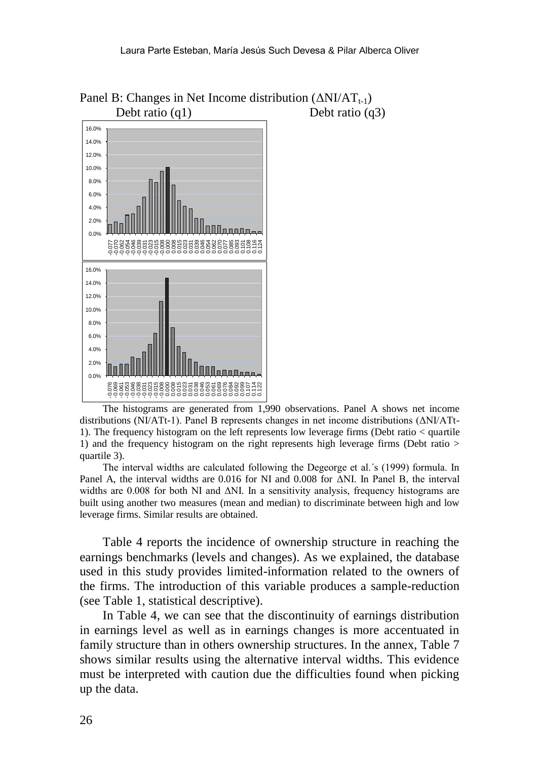

Panel B: Changes in Net Income distribution  $(\Delta NI/AT_{t-1})$ Debt ratio (q1) Debt ratio (q3)

The histograms are generated from 1,990 observations. Panel A shows net income distributions (NI/ATt-1). Panel B represents changes in net income distributions (ΔNI/ATt-1). The frequency histogram on the left represents low leverage firms (Debt ratio < quartile 1) and the frequency histogram on the right represents high leverage firms (Debt ratio > quartile 3).

The interval widths are calculated following the Degeorge et al.´s (1999) formula. In Panel A, the interval widths are 0.016 for NI and 0.008 for ΔNI. In Panel B, the interval widths are 0.008 for both NI and  $\Delta$ NI. In a sensitivity analysis, frequency histograms are built using another two measures (mean and median) to discriminate between high and low leverage firms. Similar results are obtained.

Table 4 reports the incidence of ownership structure in reaching the earnings benchmarks (levels and changes). As we explained, the database used in this study provides limited-information related to the owners of the firms. The introduction of this variable produces a sample-reduction (see Table 1, statistical descriptive).

In Table 4, we can see that the discontinuity of earnings distribution in earnings level as well as in earnings changes is more accentuated in family structure than in others ownership structures. In the annex, Table 7 shows similar results using the alternative interval widths. This evidence must be interpreted with caution due the difficulties found when picking up the data.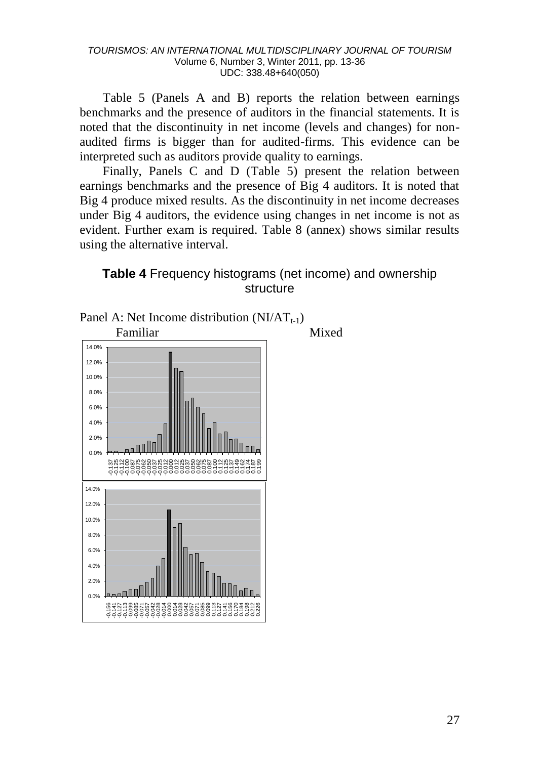Table 5 (Panels A and B) reports the relation between earnings benchmarks and the presence of auditors in the financial statements. It is noted that the discontinuity in net income (levels and changes) for nonaudited firms is bigger than for audited-firms. This evidence can be interpreted such as auditors provide quality to earnings.

Finally, Panels C and D (Table 5) present the relation between earnings benchmarks and the presence of Big 4 auditors. It is noted that Big 4 produce mixed results. As the discontinuity in net income decreases under Big 4 auditors, the evidence using changes in net income is not as evident. Further exam is required. Table 8 (annex) shows similar results using the alternative interval.

**Table 4** Frequency histograms (net income) and ownership structure

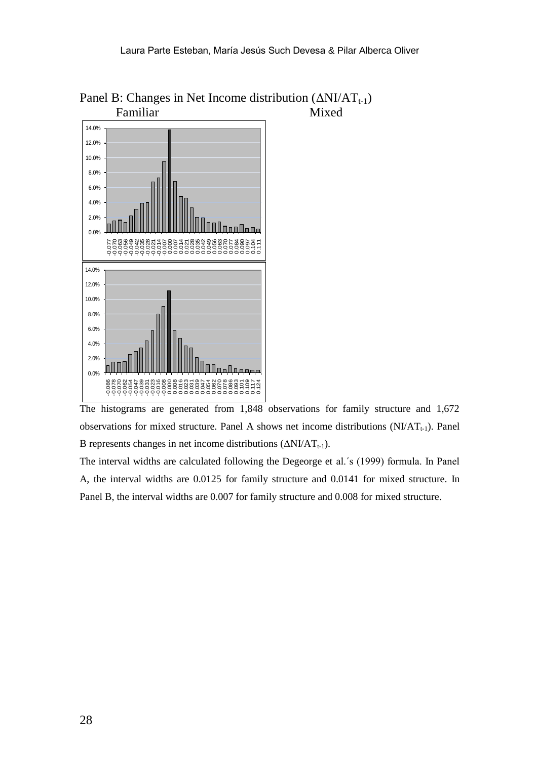

Panel B: Changes in Net Income distribution  $(\Delta N I/AT_{t-1})$ <br>Familiar Mixed Familiar

The histograms are generated from 1,848 observations for family structure and 1,672 observations for mixed structure. Panel A shows net income distributions  $(NI/AT_{t-1})$ . Panel B represents changes in net income distributions  $(\Delta NI/AT_{t-1})$ .

The interval widths are calculated following the Degeorge et al.´s (1999) formula. In Panel A, the interval widths are 0.0125 for family structure and 0.0141 for mixed structure. In Panel B, the interval widths are 0.007 for family structure and 0.008 for mixed structure.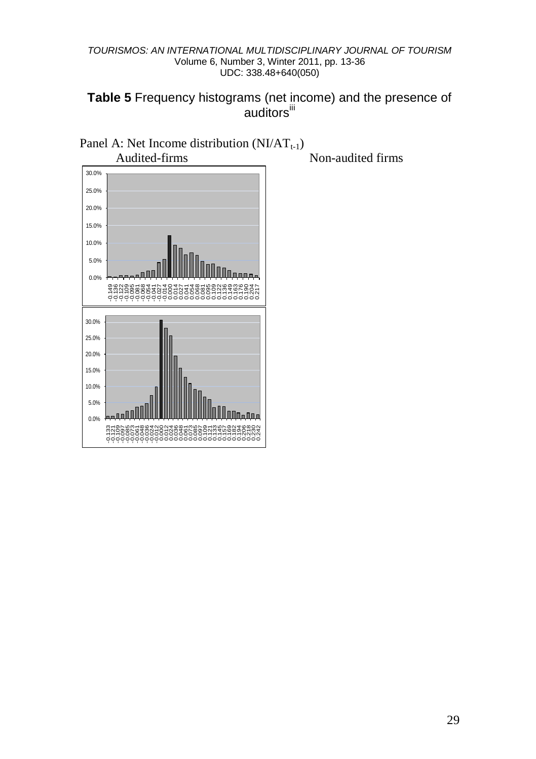**Table 5** Frequency histograms (net income) and the presence of auditors<sup>iii</sup>



Non-audited firms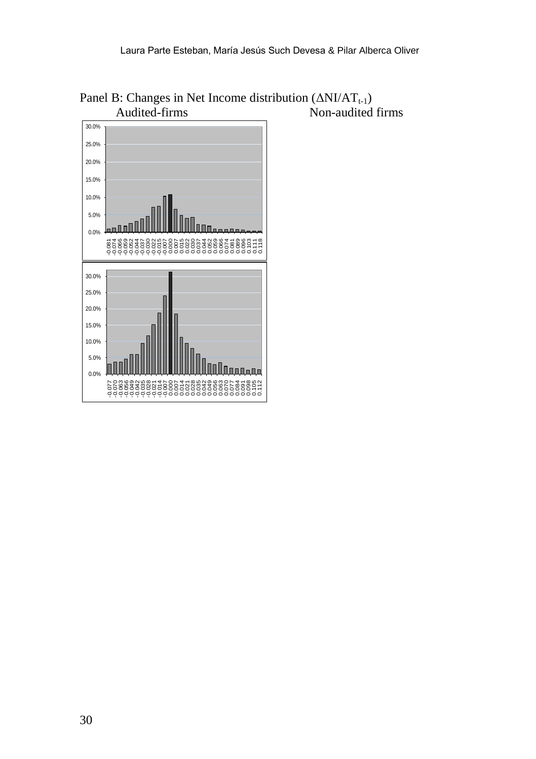

Panel B: Changes in Net Income distribution  $(\Delta NI/AT_{t-1})$ <br>Audited-firms Non-audited  $\overrightarrow{N}$  Non-audited firms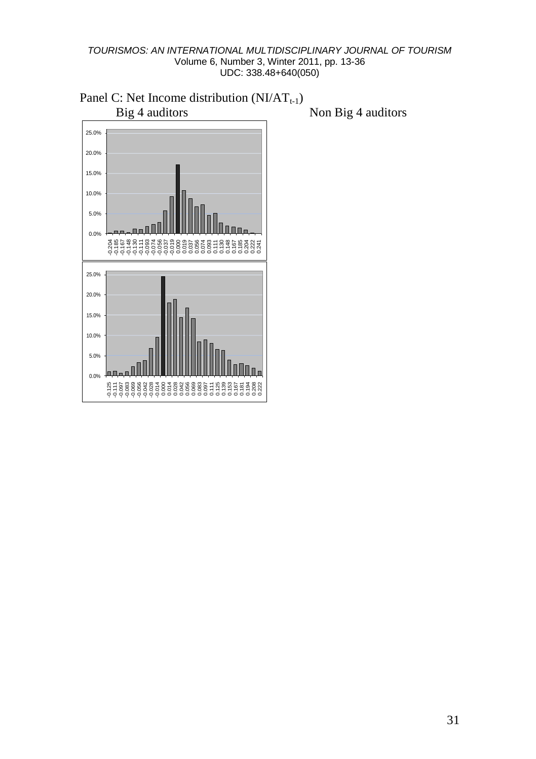

Panel C: Net Income distribution  $(NI/AT_{t-1})$ <br>Big 4 auditors

Non Big 4 auditors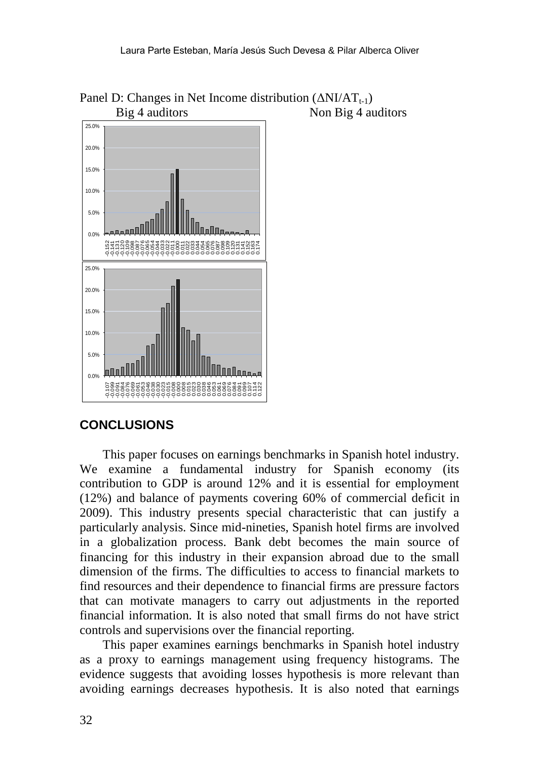

Panel D: Changes in Net Income distribution  $(\Delta N I/AT_{t-1})$ <br>Big 4 auditors Non Big 4 au Non Big 4 auditors

# **CONCLUSIONS**

This paper focuses on earnings benchmarks in Spanish hotel industry. We examine a fundamental industry for Spanish economy (its contribution to GDP is around 12% and it is essential for employment (12%) and balance of payments covering 60% of commercial deficit in 2009). This industry presents special characteristic that can justify a particularly analysis. Since mid-nineties, Spanish hotel firms are involved in a globalization process. Bank debt becomes the main source of financing for this industry in their expansion abroad due to the small dimension of the firms. The difficulties to access to financial markets to find resources and their dependence to financial firms are pressure factors that can motivate managers to carry out adjustments in the reported financial information. It is also noted that small firms do not have strict controls and supervisions over the financial reporting.

This paper examines earnings benchmarks in Spanish hotel industry as a proxy to earnings management using frequency histograms. The evidence suggests that avoiding losses hypothesis is more relevant than avoiding earnings decreases hypothesis. It is also noted that earnings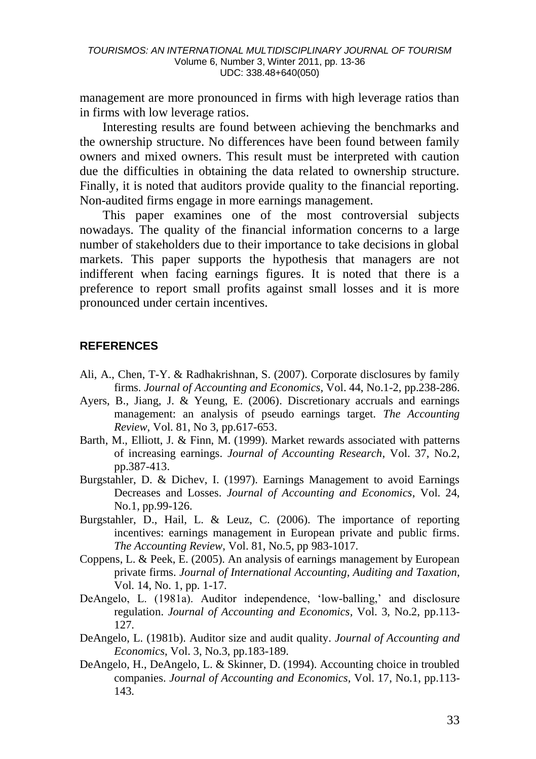management are more pronounced in firms with high leverage ratios than in firms with low leverage ratios.

Interesting results are found between achieving the benchmarks and the ownership structure. No differences have been found between family owners and mixed owners. This result must be interpreted with caution due the difficulties in obtaining the data related to ownership structure. Finally, it is noted that auditors provide quality to the financial reporting. Non-audited firms engage in more earnings management.

This paper examines one of the most controversial subjects nowadays. The quality of the financial information concerns to a large number of stakeholders due to their importance to take decisions in global markets. This paper supports the hypothesis that managers are not indifferent when facing earnings figures. It is noted that there is a preference to report small profits against small losses and it is more pronounced under certain incentives.

### **REFERENCES**

- Ali, A., Chen, T-Y. & Radhakrishnan, S. (2007). Corporate disclosures by family firms. *Journal of Accounting and Economics,* Vol. 44, No.1-2, pp.238-286.
- Ayers, B., Jiang, J. & Yeung, E. (2006). Discretionary accruals and earnings management: an analysis of pseudo earnings target. *The Accounting Review*, Vol. 81, No 3, pp.617-653.
- Barth, M., Elliott, J. & Finn, M. (1999). Market rewards associated with patterns of increasing earnings. *Journal of Accounting Research*, Vol. 37, No.2, pp.387-413.
- Burgstahler, D. & Dichev, I. (1997). Earnings Management to avoid Earnings Decreases and Losses. *Journal of Accounting and Economics*, Vol. 24, No.1, pp.99-126.
- Burgstahler, D., Hail, L. & Leuz, C. (2006). The importance of reporting incentives: earnings management in European private and public firms. *The Accounting Review*, Vol. 81, No.5, pp 983-1017.
- Coppens, L. & Peek, E. (2005). An analysis of earnings management by European private firms. *Journal of International Accounting, Auditing and Taxation*, Vol. 14, No. 1, pp. 1-17.
- DeAngelo, L. (1981a). Auditor independence, 'low-balling,' and disclosure regulation. *Journal of Accounting and Economics,* Vol. 3, No.2, pp.113- 127.
- DeAngelo, L. (1981b). Auditor size and audit quality. *Journal of Accounting and Economics*, Vol. 3, No.3, pp.183-189.
- DeAngelo, H., DeAngelo, L. & Skinner, D. (1994). Accounting choice in troubled companies. *Journal of Accounting and Economics,* Vol. 17, No.1, pp.113- 143.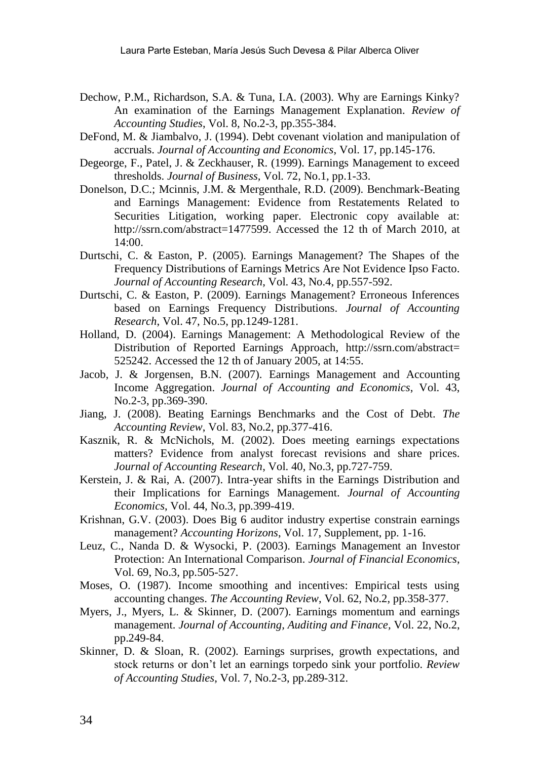- Dechow, P.M., Richardson, S.A. & Tuna, I.A. (2003). Why are Earnings Kinky? An examination of the Earnings Management Explanation. *Review of Accounting Studies*, Vol. 8, No.2-3, pp.355-384.
- DeFond, M. & Jiambalvo, J. (1994). Debt covenant violation and manipulation of accruals. *Journal of Accounting and Economics*, Vol. 17, pp.145-176.
- Degeorge, F., Patel, J. & Zeckhauser, R. (1999). Earnings Management to exceed thresholds. *Journal of Business,* Vol. 72, No.1, pp.1-33.
- Donelson, D.C.; Mcinnis, J.M. & Mergenthale, R.D. (2009). Benchmark-Beating and Earnings Management: Evidence from Restatements Related to Securities Litigation, working paper. Electronic copy available at: [http://ssrn.com/abstract=1477599.](http://ssrn.com/abstract=1477599) Accessed the 12 th of March 2010, at 14:00.
- Durtschi, C. & Easton, P. (2005). Earnings Management? The Shapes of the Frequency Distributions of Earnings Metrics Are Not Evidence Ipso Facto. *Journal of Accounting Research*, Vol. 43, No.4, pp.557-592.
- Durtschi, C. & Easton, P. (2009). Earnings Management? Erroneous Inferences based on Earnings Frequency Distributions. *Journal of Accounting Research*, Vol. 47, No.5, pp.1249-1281.
- Holland, D. (2004). Earnings Management: A Methodological Review of the Distribution of Reported Earnings Approach, http://ssrn.com/abstract= 525242. Accessed the 12 th of January 2005, at 14:55.
- Jacob, J. & Jorgensen, B.N. (2007). Earnings Management and Accounting Income Aggregation. *Journal of Accounting and Economics*, Vol. 43, No.2-3, pp.369-390.
- Jiang, J. (2008). Beating Earnings Benchmarks and the Cost of Debt. *The Accounting Review*, Vol. 83, No.2, pp.377-416.
- Kasznik, R. & McNichols, M. (2002). Does meeting earnings expectations matters? Evidence from analyst forecast revisions and share prices. *Journal of Accounting Research*, Vol. 40, No.3, pp.727-759.
- Kerstein, J. & Rai, A. (2007). Intra-year shifts in the Earnings Distribution and their Implications for Earnings Management. *Journal of Accounting Economics*, Vol. 44, No.3, pp.399-419.
- Krishnan, G.V. (2003). Does Big 6 auditor industry expertise constrain earnings management? *Accounting Horizons*, Vol. 17, Supplement, pp. 1-16.
- Leuz, C., Nanda D. & Wysocki, P. (2003). Earnings Management an Investor Protection: An International Comparison. *Journal of Financial Economics*, Vol. 69, No.3, pp.505-527.
- Moses, O. (1987). Income smoothing and incentives: Empirical tests using accounting changes. *The Accounting Review*, Vol. 62, No.2, pp.358-377.
- Myers, J., Myers, L. & Skinner, D. (2007). Earnings momentum and earnings management. *Journal of Accounting, Auditing and Finance,* Vol. 22, No.2, pp.249-84.
- Skinner, D. & Sloan, R. (2002). Earnings surprises, growth expectations, and stock returns or don"t let an earnings torpedo sink your portfolio. *Review of Accounting Studies*, Vol. 7, No.2-3, pp.289-312.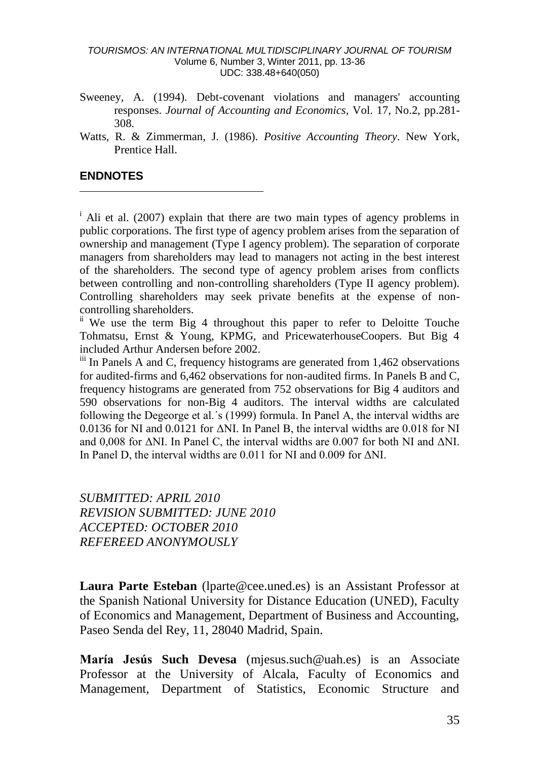- Sweeney, A. (1994). Debt-covenant violations and managers' accounting responses. *Journal of Accounting and Economics*, Vol. 17, No.2, pp.281- 308.
- Watts, R. & Zimmerman, J. (1986). *Positive Accounting Theory*. New York, Prentice Hall.

### **ENDNOTES**

-

<sup>i</sup> Ali et al. (2007) explain that there are two main types of agency problems in public corporations. The first type of agency problem arises from the separation of ownership and management (Type I agency problem). The separation of corporate managers from shareholders may lead to managers not acting in the best interest of the shareholders. The second type of agency problem arises from conflicts between controlling and non-controlling shareholders (Type II agency problem). Controlling shareholders may seek private benefits at the expense of noncontrolling shareholders.

<sup>ii</sup> We use the term Big 4 throughout this paper to refer to Deloitte Touche Tohmatsu, Ernst & Young, KPMG, and PricewaterhouseCoopers. But Big 4 included Arthur Andersen before 2002.

 $\ddot{\text{iii}}$  In Panels A and C, frequency histograms are generated from 1,462 observations for audited-firms and 6,462 observations for non-audited firms. In Panels B and C, frequency histograms are generated from 752 observations for Big 4 auditors and 590 observations for non-Big 4 auditors. The interval widths are calculated following the Degeorge et al.´s (1999) formula. In Panel A, the interval widths are 0.0136 for NI and 0.0121 for ΔNI. In Panel B, the interval widths are 0.018 for NI and 0,008 for ΔNI. In Panel C, the interval widths are 0.007 for both NI and ΔNI. In Panel D, the interval widths are 0.011 for NI and 0.009 for ΔNI.

*SUBMITTED: APRIL 2010 REVISION SUBMITTED: JUNE 2010 ACCEPTED: OCTOBER 2010 REFEREED ANONYMOUSLY*

**Laura Parte Esteban** (lparte@cee.uned.es) is an Assistant Professor at the Spanish National University for Distance Education (UNED), Faculty of Economics and Management, Department of Business and Accounting, Paseo Senda del Rey, 11, 28040 Madrid, Spain.

**María Jesús Such Devesa** (mjesus.such@uah.es) is an Associate Professor at the University of Alcala, Faculty of Economics and Management, Department of Statistics, Economic Structure and